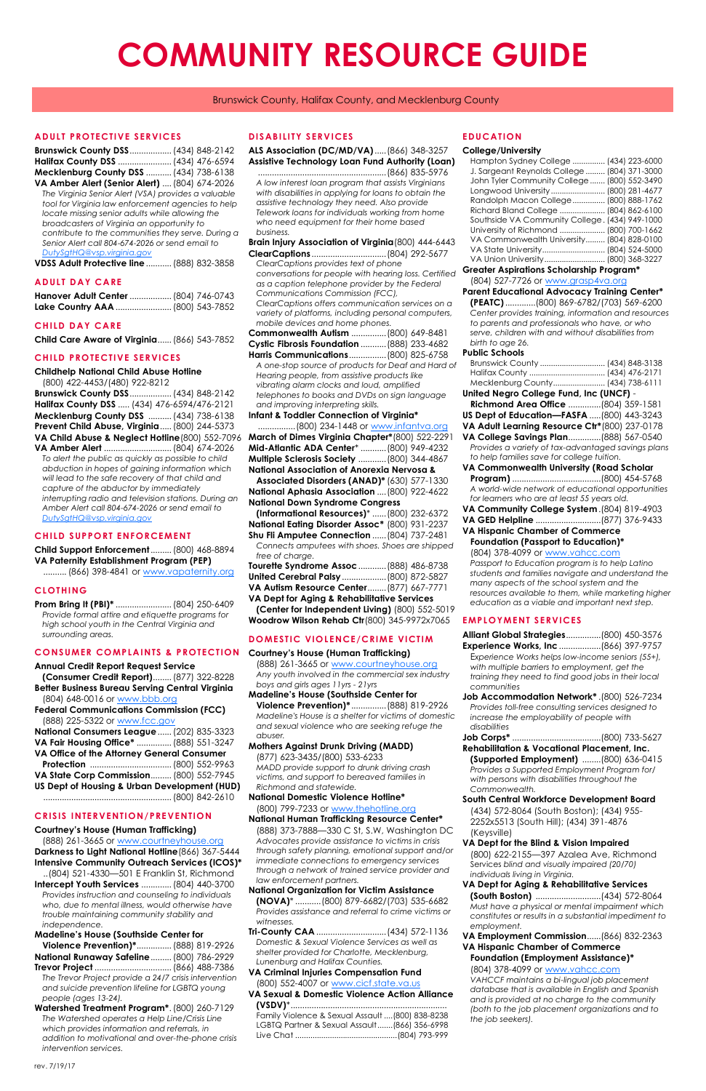# **ADULT PROTECTIVE SERVICES**

| Brunswick County DSS (434) 848-2142    |  |
|----------------------------------------|--|
| Halifax County DSS  (434) 476-6594     |  |
| Mecklenburg County DSS  (434) 738-6138 |  |

**VA Amber Alert (Senior Alert)** ....(804) 674-2026 *The Virginia Senior Alert (VSA) provides a valuable tool for Virginia law enforcement agencies to help locate missing senior adults while allowing the broadcasters of Virginia an opportunity to contribute to the communities they serve. During a Senior Alert call 804-674-2026 or send email to [DutySgtHQ@vsp.virginia.gov](mailto:DutySgtHQ@vsp.virginia.gov)*

**VDSS Adult Protective line**...........(888) 832-3858

# **ADULT DAY CARE**

| Hanover Adult Center  (804) 746-0743 |  |
|--------------------------------------|--|
|                                      |  |

# **CHILD DAY CARE**

**Child Care Aware of Virginia**......(866) 543-7852

# **CHILD PROTECTIVE SERVICES**

**Childhelp National Child Abuse Hotline**

(800) 422-4453/(480) 922-8212 **Brunswick County DSS**..................(434) 848-2142 **Halifax County DSS** ..... (434) 476-6594/476-2121 **Mecklenburg County DSS** ..........(434) 738-6138 **Prevent Child Abuse, Virginia**.....(800) 244-5373 **VA Child Abuse & Neglect Hotline**(800) 552-7096 **VA Amber Alert** .............................(804) 674-2026

*To alert the public as quickly as possible to child abduction in hopes of gaining information which will lead to the safe recovery of that child and capture of the abductor by immediately interrupting radio and television stations. During an Amber Alert call 804-674-2026 or send email to [DutySgtHQ@vsp.virginia.gov](mailto:DutySgtHQ@vsp.virginia.gov)*

# **CHILD SUPPORT ENFORCEMENT**

**Child Support Enforcement**.........(800) 468-8894 **VA Paternity Establishment Program (PEP)**

.......... (866) 398-4841 or [www.vapaternity.org](http://vapaternity.org)

# **CLOTHING**

**Prom Bring It (PBI)\*** ........................(804) 250-6409 *Provide formal attire and etiquette programs for high school youth in the Central Virginia and surrounding areas.* 

# **Annual Credit Report Request Service**

**(Consumer Credit Report)**........(877) 322-8228 **Better Business Bureau Serving Central Virginia**

(804) 648-0016 or [www.bbb.org](http://www.bbb.org) **Federal Communications Commission (FCC)** (888) 225-5322 or [www.fcc.gov](http://www.fcc.gov)

| <u>(888) ZZJ-JJZZ UL WWW.ICC.GOV</u>         |  |
|----------------------------------------------|--|
| National Consumers League  (202) 835-3323    |  |
| VA Fair Housing Office*  (888) 551-3247      |  |
| VA Office of the Attorney General Consumer   |  |
|                                              |  |
| VA State Corp Commission (800) 552-7945      |  |
| US Dept of Housing & Urban Development (HUD) |  |
|                                              |  |

# **CRISIS INTERVENTION/PREVENTION**

# **Courtney's House (Human Trafficking)**

(888) 261-3665 or [www.courtneyhouse.org](http://www.courtneyhouse.org) **Darkness to Light National Hotline**(866) 367-5444 **Intensive Community Outreach Services (ICOS)\***

..(804) 521-4330—501 E Franklin St, Richmond **Intercept Youth Services** .............(804) 440-3700 *Provides instruction and counseling to individuals who, due to mental illness, would otherwise have trouble maintaining community stability and independence.* 

# **Madeline's House (Southside Center for**

**Violence Prevention)\***...............(888) 819-2926 **National Runaway Safeline**.........(800) 786-2929 **Trevor Project** .................................(866) 488-7386 *The Trevor Project provide a 24/7 crisis intervention* 

*and suicide prevention lifeline for LGBTQ young people (ages 13-24).* 

**Watershed Treatment Program\***.(800) 260-7129 *The Watershed operates a Help Line/Crisis Line which provides information and referrals, in addition to motivational and over-the-phone crisis intervention services.* 

## **DISABILITY SERVICES**

**ALS Association (DC/MD/VA)**.....(866) 348-3257 **Assistive Technology Loan Fund Authority (Loan)**

.......................................................(866) 835-5976 *A low interest loan program that assists Virginians with disabilities in applying for loans to obtain the assistive technology they need. Also provide Telework loans for individuals working from home who need equipment for their home based business.* 

# **CONSUMER COMPLAINTS & PROTECTION Courtney's House (Human Trafficking)**

**Brain Injury Association of Virginia**(800) 444-6443 **ClearCaptions** ................................(804) 292-5677 *ClearCaptions provides text of phone conversations for people with hearing loss. Certified as a caption telephone provider by the Federal Communications Commission (FCC),* 

*ClearCaptions offers communication services on a variety of platforms, including personal computers, mobile devices and home phones.* 

**Commonwealth Autism** ...............(800) 649-8481 **Cystic Fibrosis Foundation** ...........(888) 233-4682

**Harris Communications**................(800) 825-6758

*A one-stop source of products for Deaf and Hard of Hearing people, from assistive products like vibrating alarm clocks and loud, amplified telephones to books and DVDs on sign language and improving interpreting skills.* 

## **Infant & Toddler Connection of Virginia\***

| (800) 234-1448 or www.infantya.org                    |  |  |
|-------------------------------------------------------|--|--|
| March of Dimes Virginia Chapter*(800) 522-2291        |  |  |
| Mid-Atlantic ADA Center*  (800) 949-4232              |  |  |
| Multiple Sclerosis Society  (800) 344-4867            |  |  |
| <b>National Association of Anorexia Nervosa &amp;</b> |  |  |

**Associated Disorders (ANAD)\*** (630) 577-1330 **National Aphasia Association** ....(800) 922-4622 **National Down Syndrome Congress** 

**(Informational Resources)**\* ......(800) 232-6372 **National Eating Disorder Assoc\*** (800) 931-2237 **Shu Fli Amputee Connection** ......(804) 737-2481 *Connects amputees with shoes. Shoes are shipped* 

| free of charge.                          |  |  |
|------------------------------------------|--|--|
| Tourette Syndrome Assoc  (888) 486-8738  |  |  |
| United Cerebral Palsy  (800) 872-5827    |  |  |
| VA Autism Resource Center (877) 667-7771 |  |  |

**VA Dept for Aging & Rehabilitative Services (Center for Independent Living)** (800) 552-5019 **Woodrow Wilson Rehab Ctr**(800) 345-9972x7065

# **DOMESTIC VIOLENCE/CRIME VICTIM**

(888) 261-3665 or [www.courtneyhouse.org](http://www.courtneyhouse.org) *Any youth involved in the commercial sex industry boys and girls ages 11yrs - 21yrs* 

# **Madeline's House (Southside Center for**

**Violence Prevention)\*** ...............(888) 819-2926 *Madeline's House is a shelter for victims of domestic and sexual violence who are seeking refuge the abuser.*

#### **Mothers Against Drunk Driving (MADD)**

(877) 623-3435/(800) 533-6233 *MADD provide support to drunk driving crash victims, and support to bereaved families in Richmond and statewide.*

# **National Domestic Violence Hotline\***

# (800) 799-7233 or [www.thehotline.org](http://www.thehotline.org)

## **National Human Trafficking Resource Center\***

(888) 373-7888—330 C St, S.W, Washington DC *Advocates provide assistance to victims in crisis through safety planning, emotional support and/or immediate connections to emergency services through a network of trained service provider and law enforcement partners.* 

# **National Organization for Victim Assistance**

**(NOVA)**\* ...........(800) 879-6682/(703) 535-6682 *Provides assistance and referral to crime victims or witnesses.* 

**Tri-County CAA** ..............................(434) 572-1136 *Domestic & Sexual Violence Services as well as shelter provided for Charlotte, Mecklenburg, Lunenburg and Halifax Counties.* 

#### **VA Criminal Injuries Compensation Fund** (800) 552-4007 or [www.cicf.state.va.us](http://www.cicf.state.va.us)

**VA Sexual & Domestic Violence Action Alliance (VSDV)**\*...................................................................

Family Violence & Sexual Assault ....(800) 838-8238 LGBTQ Partner & Sexual Assault.......(866) 356-6998 Live Chat ...............................................(804) 793-999

# **EDUCATION**

#### **College/University**

| Hampton Sydney College  (434) 223-6000          |
|-------------------------------------------------|
| J. Sargeant Reynolds College  (804) 371-3000    |
| John Tyler Community College  (800) 552-3490    |
| Longwood University (800) 281-4677              |
| Randolph Macon College  (800) 888-1762          |
| Richard Bland College  (804) 862-6100           |
| Southside VA Community College. (434) 949-1000  |
| University of Richmond  (800) 700-1662          |
| VA Commonwealth University (804) 828-0100       |
| VA State University (804) 524-5000              |
| VA Union University (800) 368-3227              |
| <b>Greater Aspirations Scholarship Program*</b> |

(804) 527-7726 or [www.grasp4va.org](http://www.grasp4va.org)

**Parent Educational Advocacy Training Center\* (PEATC)**.............(800) 869-6782/(703) 569-6200 *Center provides training, information and resources to parents and professionals who have, or who serve, children with and without disabilities from birth to age 26.* 

#### **Public Schools**

| Mecklenburg County (434) 738-6111                  |
|----------------------------------------------------|
| United Negro College Fund, Inc (UNCF) -            |
| Richmond Area Office  (804) 359-1581               |
| US Dept of Education-FASFA  (800) 443-3243         |
| VA Adult Learning Resource Ctr*(800) 237-0178      |
| VA College Savings Plan(888) 567-0540              |
| Provides a variety of tax-advantaged savings plans |
| to help families save for college tuition.         |
| VA Commonwealth University (Road Scholar           |
|                                                    |
| A world-wide network of educational opportunities  |
| for learners who are at least 55 years old.        |
| VA Community College System. (804) 819-4903        |
|                                                    |
| <b>VA Hispanic Chamber of Commerce</b>             |
| <b>Foundation (Passport to Education)*</b>         |
| (804) 378-4099 or www.vahcc.com                    |

*Passport to Education program is to help Latino students and families navigate and understand the many aspects of the school system and the resources available to them, while marketing higher education as a viable and important next step.*

# **EMPLOYMENT SERVICES**

| Alliant Global Strategies(800) 450-3576 |  |
|-----------------------------------------|--|
| Experience Works, Inc (866) 397-9757    |  |
|                                         |  |

E*xperience Works helps low-income seniors (55+), with multiple barriers to employment, get the training they need to find good jobs in their local communities* 

**Job Accommodation Network\*** .(800) 526-7234 *Provides toll-free consulting services designed to increase the employability of people with disabilities* 

- **Job Corps\*** ......................................(800) 733-5627 **Rehabilitation & Vocational Placement, Inc.**
- **(Supported Employment)** ........(800) 636-0415 *Provides a Supported Employment Program for/ with persons with disabilities throughout the Commonwealth.*
- **South Central Workforce Development Board**

(434) 572-8064 (South Boston); (434) 955- 2252x5513 (South Hill); (434) 391-4876 (Keysville)

# **VA Dept for the Blind & Vision Impaired**

(800) 622-2155—397 Azalea Ave, Richmond Services *blind and visually impaired (20/70) individuals living in Virginia.*

# **VA Dept for Aging & Rehabilitative Services**

**(South Boston)** ............................(434) 572-8064 *Must have a physical or mental impairment which constitutes or results in a substantial impediment to employment.* 

**VA Employment Commission**......(866) 832-2363 **VA Hispanic Chamber of Commerce Foundation (Employment Assistance)\***

(804) 378-4099 or [www.vahcc.com](http://www.vahcc.com)

*VAHCCF maintains a bi-lingual job placement database that is available in English and Spanish and is provided at no charge to the community (both to the job placement organizations and to the job seekers).* 

# **COMMUNITY RESOURCE GUIDE**

Brunswick County, Halifax County, and Mecklenburg County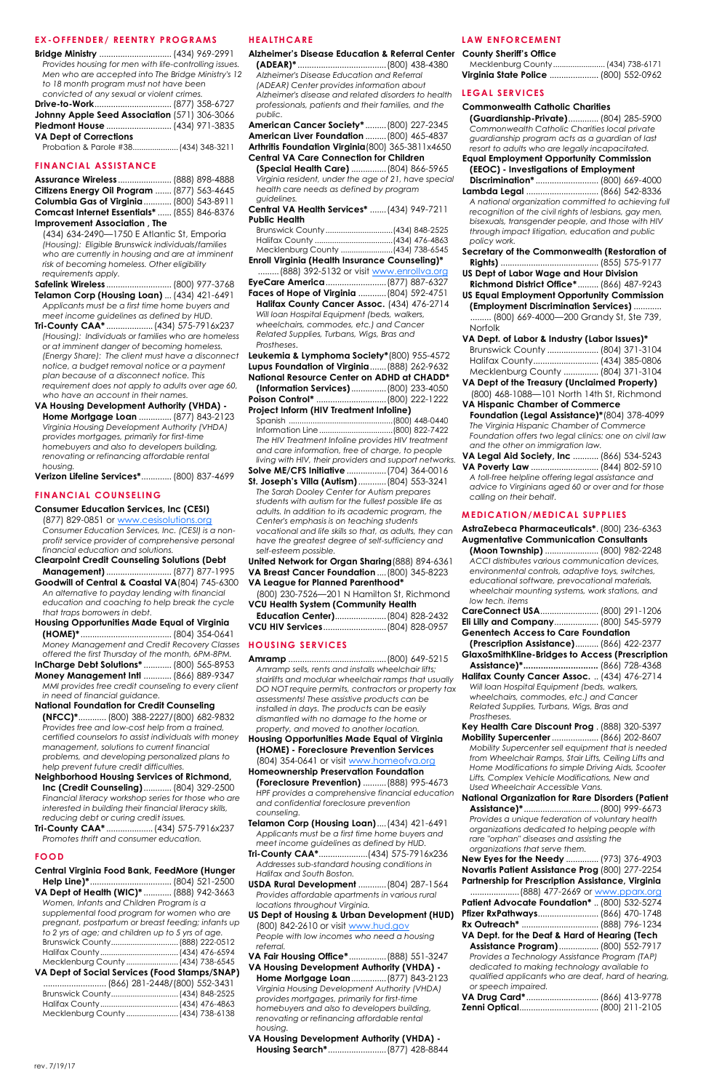#### **EX-OFFENDER/ REENTRY PROGRAMS**

| Provides housing for men with life-controlling issues. |  |
|--------------------------------------------------------|--|
| Men who are accepted into The Bridge Ministry's 12     |  |
| to 18 month program must not have been                 |  |
| convicted of any sexual or violent crimes.             |  |
|                                                        |  |
| Johnny Apple Seed Association (571) 306-3066           |  |
| Piedmont House  (434) 971-3835                         |  |
| <b>VA Dept of Corrections</b>                          |  |
| Probation & Parole #38 (434) 348-3211                  |  |

#### **FINANCIAL ASSISTANCE**

| Assurance Wireless  (888) 898-4888           |  |  |
|----------------------------------------------|--|--|
| Citizens Energy Oil Program  (877) 563-4645  |  |  |
| Columbia Gas of Virginia  (800) 543-8911     |  |  |
| Comcast Internet Essentials*  (855) 846-8376 |  |  |
| <b>Improvement Association, The</b>          |  |  |

(434) 634-2490—1750 E Atlantic St, Emporia *(Housing): Eligible Brunswick individuals/families who are currently in housing and are at imminent risk of becoming homeless. Other eligibility requirements apply.* 

**Safelink Wireless** ............................(800) 977-3768 **Telamon Corp (Housing Loan)** ...(434) 421-6491 *Applicants must be a first time home buyers and meet income guidelines as defined by HUD.* 

- **Tri-County CAA\*** ....................(434) 575-7916x237 *(Housing): Individuals or families who are homeless or at imminent danger of becoming homeless. (Energy Share): The client must have a disconnect notice, a budget removal notice or a payment plan because of a disconnect notice. This requirement does not apply to adults over age 60, who have an account in their names.*
- **VA Housing Development Authority (VHDA) - Home Mortgage Loan** ..............(877) 843-2123 *Virginia Housing Development Authority (VHDA) provides mortgages, primarily for first-time homebuyers and also to developers building, renovating or refinancing affordable rental housing.*

**Verizon Lifeline Services\***.............(800) 837-4699

#### **FINANCIAL COUNSELING**

#### **Consumer Education Services, Inc (CESI)**

(877) 829-0851 or [www.cesisolutions.org](http://www.cesisolutions.org) *Consumer Education Services, Inc. (CESI) is a nonprofit service provider of comprehensive personal financial education and solutions.*

**Clearpoint Credit Counseling Solutions (Debt Management)**............................(877) 877-1995 **Goodwill of Central & Coastal VA**(804) 745-6300 *An alternative to payday lending with financial* 

*education and coaching to help break the cycle that traps borrowers in debt.*  **Housing Opportunities Made Equal of Virginia** 

**(HOME)\*** .......................................(804) 354-0641 *Money Management and Credit Recovery Classes*  **HOUSING SERVICES** *offered the first Thursday of the month, 6PM-8PM.*

**InCharge Debt Solutions\*** ............(800) 565-8953 **Money Management Intl** ............(866) 889-9347 *MMI provides free credit counseling to every client* 

*in need of financial guidance.* **National Foundation for Credit Counseling (NFCC)\***............(800) 388-2227/(800) 682-9832 *Provides free and low-cost help from a trained, certified counselors to assist individuals with money management, solutions to current financial problems, and developing personalized plans to help prevent future credit difficulties.*

**Neighborhood Housing Services of Richmond, Inc (Credit Counseling)**............(804) 329-2500 *Financial literacy workshop series for those who are* 

*interested in building their financial literacy skills, reducing debt or curing credit issues.* 

**Tri-County CAA\*** ....................(434) 575-7916x237 *Promotes thrift and consumer education.*

# **FOOD**

### **Central Virginia Food Bank, FeedMore (Hunger**

**Help Line)\***...................................(804) 521-2500 **VA Dept of Health (WIC)\*** ............(888) 942-3663 *Women, Infants and Children Program is a supplemental food program for women who are pregnant, postpartum or breast feeding; infants up to 2 yrs of age; and children up to 5 yrs of age.*  Brunswick County...............................(888) 222-0512 Halifax County....................................(434) 476-6594 Mecklenburg County ........................(434) 738-6545

# **VA Dept of Social Services (Food Stamps/SNAP)**

| Mecklenburg County  (434) 738-6138 |
|------------------------------------|
|                                    |

#### **HEALTHCARE**

**Alzheimer's Disease Education & Referral Center (ADEAR)\*** ......................................(800) 438-4380 *Alzheimer's Disease Education and Referral (ADEAR) Center provides information about Alzheimer's disease and related disorders to health*  **LEGAL SERVICES** *professionals, patients and their families, and the public.* 

**American Cancer Society\*** .........(800) 227-2345 **American Liver Foundation** .........(800) 465-4837 **Arthritis Foundation Virginia**(800) 365-3811x4650

**Central VA Care Connection for Children (Special Health Care)** ...............(804) 866-5965 *Virginia resident, under the age of 21, have special health care needs as defined by program* 

*guidelines.*  **Central VA Health Services\*** .......(434) 949-7211 **Public Health**

| Mecklenburg County | (434) 738-6545 |
|--------------------|----------------|

Mecklenburg County ........................(434) 738-6545 **Enroll Virginia (Health Insurance Counseling)\*** ......... (888) 392-5132 or visit [www.enrollva.org](http://www.enrollva.org) **EyeCare America**..........................(877) 887-6327 **Faces of Hope of Virginia** ............(804) 592-4751

**Halifax County Cancer Assoc.** (434) 476-2714 *Will loan Hospital Equipment (beds, walkers, wheelchairs, commodes, etc.) and Cancer Related Supplies, Turbans, Wigs, Bras and Prostheses.* 

**Leukemia & Lymphoma Society\***(800) 955-4572 **Lupus Foundation of Virginia**.......(888) 262-9632 **National Resource Center on ADHD at CHADD\* (Information Services)**...............(800) 233-4050 **Poison Control\*** ..............................(800) 222-1222

**Project Inform (HIV Treatment Infoline)** Spanish ................................................(800) 448-0440 Information Line..................................(800) 822-7422 *The HIV Treatment Infoline provides HIV treatment and care information, free of charge, to people living with HIV, their providers and support networks.*  **Solve ME/CFS Initiative** .................(704) 364-0016

**St. Joseph's Villa (Autism)**............(804) 553-3241 *The Sarah Dooley Center for Autism prepares students with autism for the fullest possible life as adults. In addition to its academic program, the Center's emphasis is on teaching students vocational and life skills so that, as adults, they can have the greatest degree of self-sufficiency and self-esteem possible.* 

**United Network for Organ Sharing**(888) 894-6361 **VA Breast Cancer Foundation** ....(800) 345-8223 **VA League for Planned Parenthood\***

(800) 230-7526—201 N Hamilton St, Richmond **VCU Health System (Community Health Education Center)**......................(804) 828-2432 **VCU HIV Services**...........................(804) 828-0957

**Amramp** ..........................................(800) 649-5215 *Amramp sells, rents and installs wheelchair lifts; stairlifts and modular wheelchair ramps that usually DO NOT require permits, contractors or property tax assessments! These assistive products can be installed in days. The products can be easily dismantled with no damage to the home or property, and moved to another location.*  **Housing Opportunities Made Equal of Virginia** 

**(HOME) - Foreclosure Prevention Services** (804) 354-0641 or visit [www.homeofva.org](http://www.homeofva.org) **Homeownership Preservation Foundation** 

# **(Foreclosure Prevention)** ..........(888) 995-4673

*HPF provides a comprehensive financial education and confidential foreclosure prevention counseling.* 

**Telamon Corp (Housing Loan)**....(434) 421-6491 *Applicants must be a first time home buyers and meet income guidelines as defined by HUD.* 

**Tri-County CAA\***.....................(434) 575-7916x236 *Addresses sub-standard housing conditions in Halifax and South Boston.*

**USDA Rural Development** ............(804) 287-1564 *Provides affordable apartments in various rural locations throughout Virginia.* 

**US Dept of Housing & Urban Development (HUD)** (800) 842-2610 or visit [www.hud.gov](http://www.hud.gov) *People with low incomes who need a housing* 

*referral.*

**VA Fair Housing Office\***................(888) 551-3247 **VA Housing Development Authority (VHDA) -**

**Home Mortgage Loan**...............(877) 843-2123 *Virginia Housing Development Authority (VHDA) provides mortgages, primarily for first-time homebuyers and also to developers building, renovating or refinancing affordable rental housing.* 

**VA Housing Development Authority (VHDA) -**

**Housing Search\***.........................(877) 428-8844

#### **LAW ENFORCEMENT**

| <b>County Sheriff's Office</b>        |  |
|---------------------------------------|--|
|                                       |  |
| Virginia State Police  (800) 552-0962 |  |

#### **Commonwealth Catholic Charities**

**(Guardianship-Private)**............. (804) 285-5900 *Commonwealth Catholic Charities local private guardianship program acts as a guardian of last resort to adults who are legally incapacitated.* 

| goaraigns no program acis as a goaraign or iasi       |  |
|-------------------------------------------------------|--|
| resort to adults who are legally incapacitated.       |  |
| <b>Equal Employment Opportunity Commission</b>        |  |
| (EEOC) - Investigations of Employment                 |  |
| Discrimination*  (800) 669-4000                       |  |
| Lambda Legal  (866) 542-8336                          |  |
| A national organization committed to achieving full   |  |
| recognition of the civil rights of lesbians, gay men, |  |
| bisexuals, transgender people, and those with HIV     |  |
| through impact litigation, education and public       |  |
| policy work.                                          |  |
| Secretary of the Commonwealth (Restoration of         |  |
|                                                       |  |
| <b>US Dept of Labor Wage and Hour Division</b>        |  |
| Richmond District Office* (866) 487-9243              |  |
| <b>US Equal Employment Opportunity Commission</b>     |  |
| (Employment Discrimination Services)                  |  |
| (800) 669-4000-200 Grandy St, Ste 739,                |  |
| Norfolk                                               |  |
| VA Dept. of Labor & Industry (Labor Issues)*          |  |
|                                                       |  |

| Brunswick County  (804) 371-3104 |  |
|----------------------------------|--|
|                                  |  |

Mecklenburg County ............... (804) 371-3104 **VA Dept of the Treasury (Unclaimed Property)** (800) 468-1088—101 North 14th St, Richmond

**VA Hispanic Chamber of Commerce Foundation (Legal Assistance)\***(804) 378-4099 *The Virginia Hispanic Chamber of Commerce Foundation offers two legal clinics: one on civil law and the other on immigration law.* 

**VA Legal Aid Society, Inc** ........... (866) 534-5243 **VA Poverty Law** ............................. (844) 802-5910

*A toll-free helpline offering legal assistance and advice to Virginians aged 60 or over and for those calling on their behalf.* 

#### **MEDICATION/MEDICAL SUPPLIES**

**AstraZebeca Pharmaceuticals\***. (800) 236-6363 **Augmentative Communication Consultants (Moon Township)** ....................... (800) 982-2248 *ACCI distributes various communication devices, environmental controls, adaptive toys, switches, educational software, prevocational materials, wheelchair mounting systems, work stations, and low tech. items*  **CareConnect USA**......................... (800) 291-1206 **Eli Lilly and Company**................... (800) 545-5979 **Genentech Access to Care Foundation (Prescription Assistance)**.......... (866) 422-2377 **GlaxoSmithKline-Bridges to Access (Prescription Assistance)\*..............................** (866) 728-4368 **Halifax County Cancer Assoc.** .. (434) 476-2714 *Will loan Hospital Equipment (beds, walkers, wheelchairs, commodes, etc.) and Cancer Related Supplies, Turbans, Wigs, Bras and Prostheses.*  **Key Health Care Discount Prog** . (888) 320-5397 **Mobility Supercenter**.................... (866) 202-8607 *Mobility Supercenter sell equipment that is needed from Wheelchair Ramps, Stair Lifts, Ceiling Lifts and Home Modifications to simple Driving Aids, Scooter Lifts, Complex Vehicle Modifications, New and Used Wheelchair Accessible Vans.* 

**National Organization for Rare Disorders (Patient** 

| Provides a unique federation of voluntary health                           |  |
|----------------------------------------------------------------------------|--|
| organizations dedicated to helping people with                             |  |
| rare "orphan" diseases and assisting the                                   |  |
| organizations that serve them.                                             |  |
| New Eyes for the Needy  (973) 376-4903                                     |  |
| Novartis Patient Assistance Prog (800) 277-2254                            |  |
| <b>Partnership for Prescription Assistance, Virginia</b>                   |  |
|                                                                            |  |
| Patient Advocate Foundation*  (800) 532-5274                               |  |
| Pfizer RxPathways (866) 470-1748                                           |  |
|                                                                            |  |
| VA Dept. for the Deaf & Hard of Hearing (Tech                              |  |
| Assistance Program)  (800) 552-7917                                        |  |
| Provides a Technology Assistance Program (TAP)                             |  |
| dedicated to making technology available to                                |  |
| qualified applicants who are deaf, hard of hearing,<br>or speech impaired. |  |
| VA Drug Card* (866) 413-9778                                               |  |